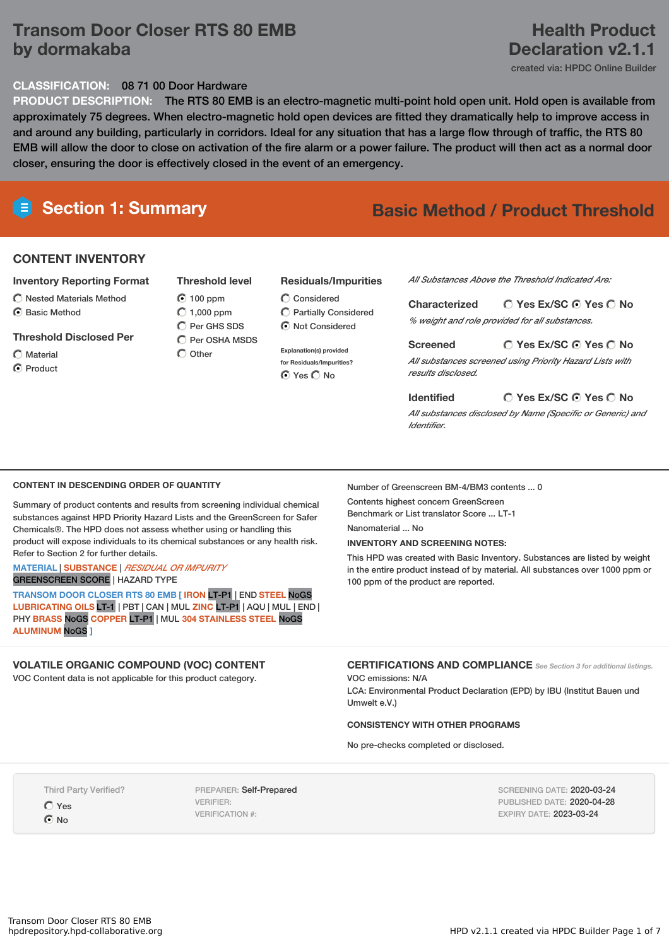# **Transom Door Closer RTS 80 EMB by dormakaba**

# **Health Product Declaration v2.1.1**

created via: HPDC Online Builder

## **CLASSIFICATION:** 08 71 00 Door Hardware

**PRODUCT DESCRIPTION:** The RTS 80 EMB is an electro-magnetic multi-point hold open unit. Hold open is available from approximately 75 degrees. When electro-magnetic hold open devices are fitted they dramatically help to improve access in and around any building, particularly in corridors. Ideal for any situation that has a large flow through of traffic, the RTS 80 EMB will allow the door to close on activation of the fire alarm or a power failure. The product will then act as a normal door closer, ensuring the door is effectively closed in the event of an emergency.

# **Section 1: Summary Basic Method / Product Threshold**

# **CONTENT INVENTORY**

### **Inventory Reporting Format**

 $\bigcirc$  Nested Materials Method C Basic Method

### **Threshold Disclosed Per**

- Material
- C Product

## **Threshold level**

 $\bigcap$  Other

- C Per OSHA MSDS
	- **Explanation(s) provided for Residuals/Impurities?**
		- ⊙ Yes O No

Considered Partially Considered  $\odot$  Not Considered

#### *All Substances Above the Threshold Indicated Are:*

**Yes Ex/SC Yes No Characterized** *% weight and role provided for all substances.*

**Yes Ex/SC Yes No Screened** *All substances screened using Priority Hazard Lists with results disclosed.*

### **Identified**

**Yes Ex/SC Yes No** *All substances disclosed by Name (Specific or Generic) and Identifier.*

### **CONTENT IN DESCENDING ORDER OF QUANTITY**

Summary of product contents and results from screening individual chemical substances against HPD Priority Hazard Lists and the GreenScreen for Safer Chemicals®. The HPD does not assess whether using or handling this product will expose individuals to its chemical substances or any health risk. Refer to Section 2 for further details.

#### **MATERIAL** | **SUBSTANCE** | *RESIDUAL OR IMPURITY* GREENSCREEN SCORE | HAZARD TYPE

**TRANSOM DOOR CLOSER RTS 80 EMB [ IRON** LT-P1 | END **STEEL** NoGS **LUBRICATING OILS** LT-1 | PBT | CAN | MUL **ZINC** LT-P1 | AQU | MUL | END | PHY **BRASS** NoGS **COPPER** LT-P1 | MUL **304 STAINLESS STEEL** NoGS **ALUMINUM** NoGS **]**

## **VOLATILE ORGANIC COMPOUND (VOC) CONTENT**

VOC Content data is not applicable for this product category.

Number of Greenscreen BM-4/BM3 contents ... 0

Contents highest concern GreenScreen Benchmark or List translator Score ... LT-1

Nanomaterial No.

#### **INVENTORY AND SCREENING NOTES:**

This HPD was created with Basic Inventory. Substances are listed by weight in the entire product instead of by material. All substances over 1000 ppm or 100 ppm of the product are reported.

**CERTIFICATIONS AND COMPLIANCE** *See Section <sup>3</sup> for additional listings.*

VOC emissions: N/A

LCA: Environmental Product Declaration (EPD) by IBU (Institut Bauen und Umwelt e.V.)

# **CONSISTENCY WITH OTHER PROGRAMS**

No pre-checks completed or disclosed.

Third Party Verified?

Yes  $\odot$  No

PREPARER: Self-Prepared VERIFIER: VERIFICATION #:

SCREENING DATE: 2020-03-24 PUBLISHED DATE: 2020-04-28 EXPIRY DATE: 2023-03-24

**Residuals/Impurities**

 $\odot$  100 ppm  $O$  1,000 ppm  $\bigcap$  Per GHS SDS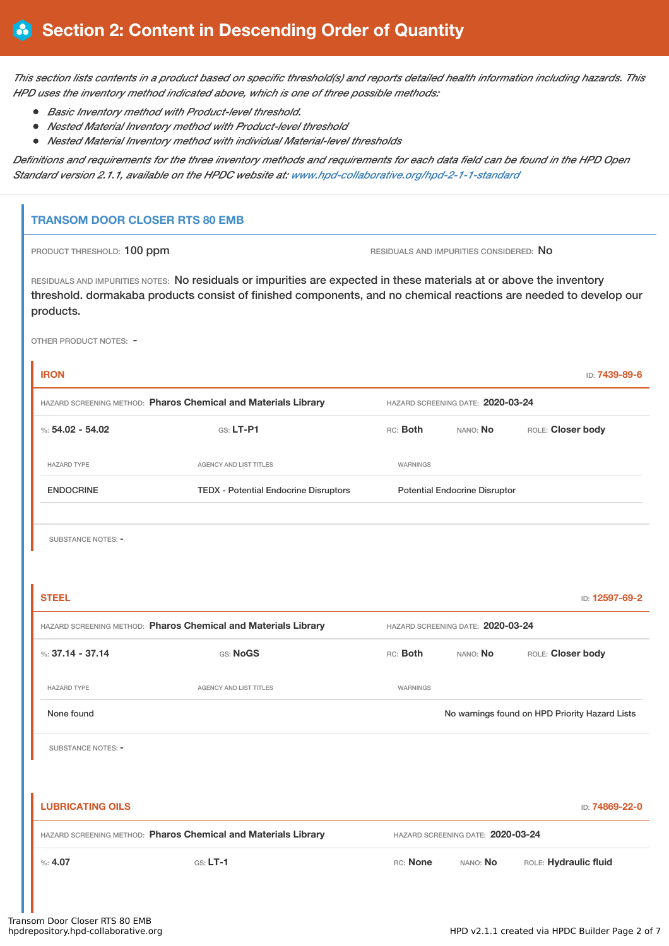This section lists contents in a product based on specific threshold(s) and reports detailed health information including hazards. This *HPD uses the inventory method indicated above, which is one of three possible methods:*

- *Basic Inventory method with Product-level threshold.*
- *Nested Material Inventory method with Product-level threshold*
- *Nested Material Inventory method with individual Material-level thresholds*

Definitions and requirements for the three inventory methods and requirements for each data field can be found in the HPD Open *Standard version 2.1.1, available on the HPDC website at: [www.hpd-collaborative.org/hpd-2-1-1-standard](https://www.hpd-collaborative.org/hpd-2-1-1-standard)*

# **TRANSOM DOOR CLOSER RTS 80 EMB**

PRODUCT THRESHOLD: 100 ppm **RESIDUALS AND IMPURITIES CONSIDERED:** No

RESIDUALS AND IMPURITIES NOTES: No residuals or impurities are expected in these materials at or above the inventory threshold. dormakaba products consist of finished components, and no chemical reactions are needed to develop our products.

OTHER PRODUCT NOTES: -

| <b>IRON</b>                                                    |                                              |                                   |                                      | ID: 7439-89-6                                  |  |
|----------------------------------------------------------------|----------------------------------------------|-----------------------------------|--------------------------------------|------------------------------------------------|--|
| HAZARD SCREENING METHOD: Pharos Chemical and Materials Library |                                              | HAZARD SCREENING DATE: 2020-03-24 |                                      |                                                |  |
| %: $54.02 - 54.02$                                             | $G.S. LT-P1$                                 | RC: Both                          | ROLE: Closer body                    |                                                |  |
| <b>HAZARD TYPE</b>                                             | <b>AGENCY AND LIST TITLES</b>                | WARNINGS                          |                                      |                                                |  |
| <b>ENDOCRINE</b>                                               | <b>TEDX - Potential Endocrine Disruptors</b> |                                   | <b>Potential Endocrine Disruptor</b> |                                                |  |
|                                                                |                                              |                                   |                                      |                                                |  |
| <b>SUBSTANCE NOTES: -</b>                                      |                                              |                                   |                                      |                                                |  |
|                                                                |                                              |                                   |                                      |                                                |  |
| <b>STEEL</b>                                                   |                                              |                                   |                                      | ID: 12597-69-2                                 |  |
| HAZARD SCREENING METHOD: Pharos Chemical and Materials Library |                                              |                                   | HAZARD SCREENING DATE: 2020-03-24    |                                                |  |
| %: $37.14 - 37.14$                                             | GS: NoGS                                     | RC: Both                          | NANO: No                             | ROLE: Closer body                              |  |
| <b>HAZARD TYPE</b>                                             | AGENCY AND LIST TITLES                       | WARNINGS                          |                                      |                                                |  |
| None found                                                     |                                              |                                   |                                      | No warnings found on HPD Priority Hazard Lists |  |
| SUBSTANCE NOTES: -                                             |                                              |                                   |                                      |                                                |  |
|                                                                |                                              |                                   |                                      |                                                |  |
| <b>LUBRICATING OILS</b>                                        |                                              |                                   |                                      | ID: 74869-22-0                                 |  |
| HAZARD SCREENING METHOD: Pharos Chemical and Materials Library |                                              |                                   | HAZARD SCREENING DATE: 2020-03-24    |                                                |  |
| %: 4.07                                                        | $GS: LT-1$                                   | RC: None                          | NANO: No                             | ROLE: Hydraulic fluid                          |  |
|                                                                |                                              |                                   |                                      |                                                |  |
|                                                                |                                              |                                   |                                      |                                                |  |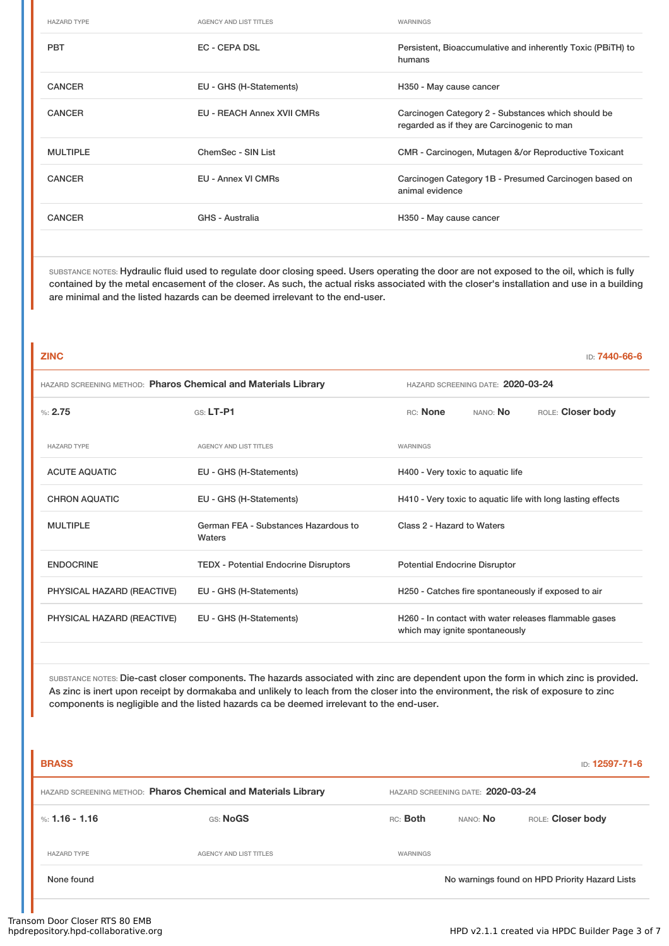| <b>HAZARD TYPE</b> | <b>AGENCY AND LIST TITLES</b>     | WARNINGS                                                                                          |
|--------------------|-----------------------------------|---------------------------------------------------------------------------------------------------|
| <b>PBT</b>         | EC - CEPA DSL                     | Persistent, Bioaccumulative and inherently Toxic (PBITH) to<br>humans                             |
| <b>CANCER</b>      | EU - GHS (H-Statements)           | H350 - May cause cancer                                                                           |
| <b>CANCER</b>      | <b>EU - REACH Annex XVII CMRs</b> | Carcinogen Category 2 - Substances which should be<br>regarded as if they are Carcinogenic to man |
| <b>MULTIPLE</b>    | ChemSec - SIN List                | CMR - Carcinogen, Mutagen &/or Reproductive Toxicant                                              |
| <b>CANCER</b>      | EU - Annex VI CMRs                | Carcinogen Category 1B - Presumed Carcinogen based on<br>animal evidence                          |
| <b>CANCER</b>      | GHS - Australia                   | H350 - May cause cancer                                                                           |

SUBSTANCE NOTES: Hydraulic fluid used to regulate door closing speed. Users operating the door are not exposed to the oil, which is fully contained by the metal encasement of the closer. As such, the actual risks associated with the closer's installation and use in a building are minimal and the listed hazards can be deemed irrelevant to the end-user.

| <b>ZINC</b>                                                    |                                                |                                                             |                                | ID: 7440-66-6                                         |
|----------------------------------------------------------------|------------------------------------------------|-------------------------------------------------------------|--------------------------------|-------------------------------------------------------|
| HAZARD SCREENING METHOD: Pharos Chemical and Materials Library |                                                | HAZARD SCREENING DATE: 2020-03-24                           |                                |                                                       |
| %2.75                                                          | $GS: LT-PI$                                    | RC: None                                                    | NANO: No                       | ROLE: Closer body                                     |
| <b>HAZARD TYPE</b>                                             | <b>AGENCY AND LIST TITLES</b>                  | WARNINGS                                                    |                                |                                                       |
| <b>ACUTE AQUATIC</b>                                           | EU - GHS (H-Statements)                        | H400 - Very toxic to aquatic life                           |                                |                                                       |
| <b>CHRON AQUATIC</b>                                           | EU - GHS (H-Statements)                        | H410 - Very toxic to aquatic life with long lasting effects |                                |                                                       |
| <b>MULTIPLE</b>                                                | German FEA - Substances Hazardous to<br>Waters | Class 2 - Hazard to Waters                                  |                                |                                                       |
| <b>ENDOCRINE</b>                                               | <b>TEDX - Potential Endocrine Disruptors</b>   | <b>Potential Endocrine Disruptor</b>                        |                                |                                                       |
| PHYSICAL HAZARD (REACTIVE)                                     | EU - GHS (H-Statements)                        |                                                             |                                | H250 - Catches fire spontaneously if exposed to air   |
| PHYSICAL HAZARD (REACTIVE)                                     | EU - GHS (H-Statements)                        |                                                             | which may ignite spontaneously | H260 - In contact with water releases flammable gases |
|                                                                |                                                |                                                             |                                |                                                       |

SUBSTANCE NOTES: Die-cast closer components. The hazards associated with zinc are dependent upon the form in which zinc is provided. As zinc is inert upon receipt by dormakaba and unlikely to leach from the closer into the environment, the risk of exposure to zinc components is negligible and the listed hazards ca be deemed irrelevant to the end-user.

| <b>BRASS</b>       |                                                                |          |                                   | <b>ID: 12597-71-6</b>                          |
|--------------------|----------------------------------------------------------------|----------|-----------------------------------|------------------------------------------------|
|                    | HAZARD SCREENING METHOD: Pharos Chemical and Materials Library |          | HAZARD SCREENING DATE: 2020-03-24 |                                                |
| %: 1.16 - 1.16     | GS: NoGS                                                       | RC: Both | NANO: No                          | ROLE: Closer body                              |
| <b>HAZARD TYPE</b> | <b>AGENCY AND LIST TITLES</b>                                  | WARNINGS |                                   |                                                |
| None found         |                                                                |          |                                   | No warnings found on HPD Priority Hazard Lists |
|                    |                                                                |          |                                   |                                                |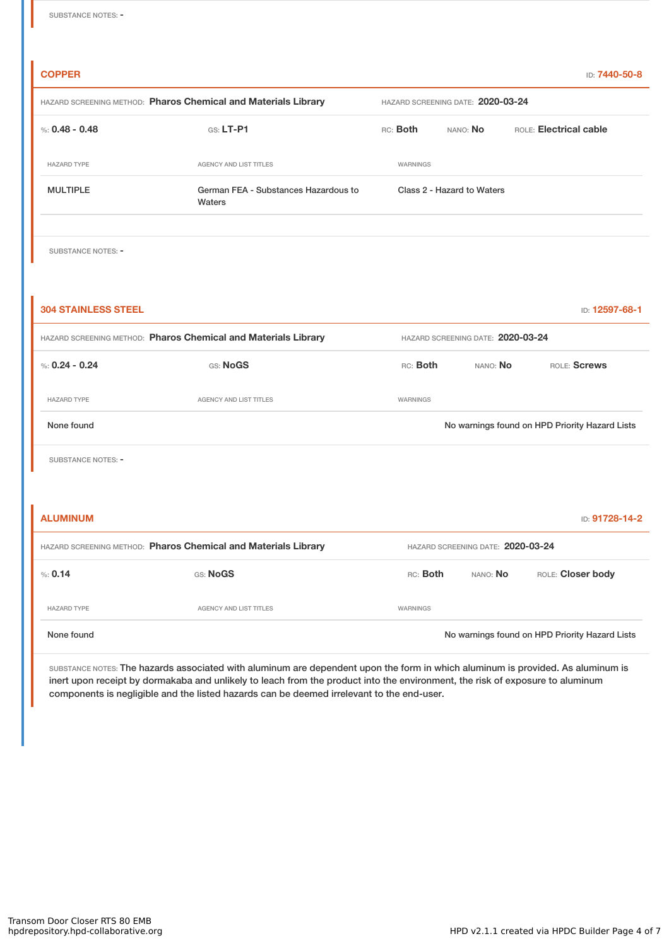| <b>COPPER</b>                                                  |                                                |                                   |                                   | ID: 7440-50-8                                  |  |
|----------------------------------------------------------------|------------------------------------------------|-----------------------------------|-----------------------------------|------------------------------------------------|--|
| HAZARD SCREENING METHOD: Pharos Chemical and Materials Library |                                                | HAZARD SCREENING DATE: 2020-03-24 |                                   |                                                |  |
| %: $0.48 - 0.48$                                               | GS: LT-P1                                      | RC: Both                          | NANO: No                          | ROLE: Electrical cable                         |  |
| <b>HAZARD TYPE</b>                                             | AGENCY AND LIST TITLES                         | WARNINGS                          |                                   |                                                |  |
| <b>MULTIPLE</b>                                                | German FEA - Substances Hazardous to<br>Waters |                                   | Class 2 - Hazard to Waters        |                                                |  |
| <b>SUBSTANCE NOTES: -</b>                                      |                                                |                                   |                                   |                                                |  |
| <b>304 STAINLESS STEEL</b>                                     |                                                |                                   |                                   | ID: 12597-68-1                                 |  |
| HAZARD SCREENING METHOD: Pharos Chemical and Materials Library | HAZARD SCREENING DATE: 2020-03-24              |                                   |                                   |                                                |  |
| %: $0.24 - 0.24$                                               | GS: NoGS                                       | RC: Both                          | NANO: No                          | ROLE: Screws                                   |  |
| <b>HAZARD TYPE</b>                                             | AGENCY AND LIST TITLES                         | WARNINGS                          |                                   |                                                |  |
| None found                                                     |                                                |                                   |                                   | No warnings found on HPD Priority Hazard Lists |  |
| SUBSTANCE NOTES: -                                             |                                                |                                   |                                   |                                                |  |
|                                                                |                                                |                                   |                                   |                                                |  |
| <b>ALUMINUM</b>                                                |                                                |                                   |                                   | ID: 91728-14-2                                 |  |
| HAZARD SCREENING METHOD: Pharos Chemical and Materials Library |                                                |                                   | HAZARD SCREENING DATE: 2020-03-24 |                                                |  |
| % 0.14                                                         | GS: NoGS                                       | RC: Both                          | NANO: No                          | ROLE: Closer body                              |  |

None found Now arrings found on HPD Priority Hazard Lists

SUBSTANCE NOTES: The hazards associated with aluminum are dependent upon the form in which aluminum is provided. As aluminum is inert upon receipt by dormakaba and unlikely to leach from the product into the environment, the risk of exposure to aluminum components is negligible and the listed hazards can be deemed irrelevant to the end-user.

HAZARD TYPE **AGENCY AND LIST TITLES AGENCY AND LIST TITLES**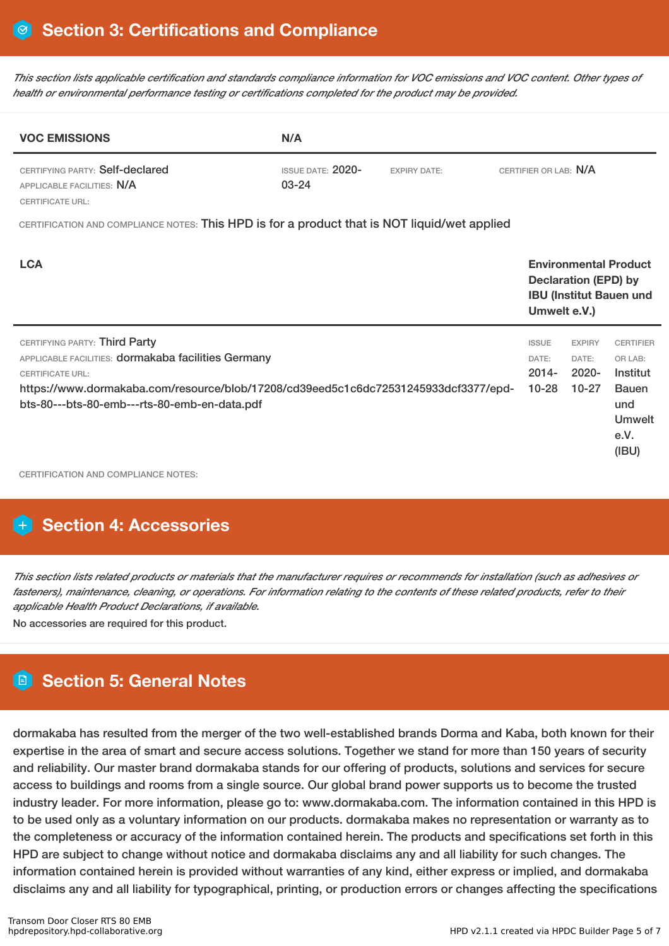This section lists applicable certification and standards compliance information for VOC emissions and VOC content. Other types of *health or environmental performance testing or certifications completed for the product may be provided.*

| <b>VOC EMISSIONS</b>                                                                         | N/A                                   |                     |                       |
|----------------------------------------------------------------------------------------------|---------------------------------------|---------------------|-----------------------|
| CERTIFYING PARTY: Self-declared<br>APPLICABLE FACILITIES: N/A<br><b>CERTIFICATE URL:</b>     | <b>ISSUE DATE: 2020-</b><br>$03 - 24$ | <b>EXPIRY DATE:</b> | CERTIFIER OR LAB: N/A |
| CERTIFICATION AND COMPLIANCE NOTES: This HPD is for a product that is NOT liquid/wet applied |                                       |                     |                       |
| - - -                                                                                        |                                       |                     | .                     |

| <b>LCA</b>                                                                                                                                                                                                                                             |                                                | <b>Environmental Product</b><br><b>Declaration (EPD) by</b><br><b>IBU (Institut Bauen und</b><br>Umwelt e.V.) |                                                                                                  |  |
|--------------------------------------------------------------------------------------------------------------------------------------------------------------------------------------------------------------------------------------------------------|------------------------------------------------|---------------------------------------------------------------------------------------------------------------|--------------------------------------------------------------------------------------------------|--|
| CERTIFYING PARTY: Third Party<br>APPLICABLE FACILITIES: dormakaba facilities Germany<br><b>CERTIFICATE URL:</b><br>https://www.dormakaba.com/resource/blob/17208/cd39eed5c1c6dc72531245933dcf3377/epd-<br>bts-80---bts-80-emb---rts-80-emb-en-data.pdf | <b>ISSUE</b><br>DATE:<br>$2014 -$<br>$10 - 28$ | <b>EXPIRY</b><br>DATE:<br>$2020 -$<br>$10 - 27$                                                               | <b>CERTIFIER</b><br>OR LAB:<br>Institut<br><b>Bauen</b><br>und<br><b>Umwelt</b><br>e.V.<br>(IBU) |  |

CERTIFICATION AND COMPLIANCE NOTES:

# **H** Section 4: Accessories

This section lists related products or materials that the manufacturer requires or recommends for installation (such as adhesives or fasteners), maintenance, cleaning, or operations. For information relating to the contents of these related products, refer to their *applicable Health Product Declarations, if available.*

No accessories are required for this product.

# **Section 5: General Notes**

dormakaba has resulted from the merger of the two well-established brands Dorma and Kaba, both known for their expertise in the area of smart and secure access solutions. Together we stand for more than 150 years of security and reliability. Our master brand dormakaba stands for our offering of products, solutions and services for secure access to buildings and rooms from a single source. Our global brand power supports us to become the trusted industry leader. For more information, please go to: www.dormakaba.com. The information contained in this HPD is to be used only as a voluntary information on our products. dormakaba makes no representation or warranty as to the completeness or accuracy of the information contained herein. The products and specifications set forth in this HPD are subject to change without notice and dormakaba disclaims any and all liability for such changes. The information contained herein is provided without warranties of any kind, either express or implied, and dormakaba disclaims any and all liability for typographical, printing, or production errors or changes affecting the specifications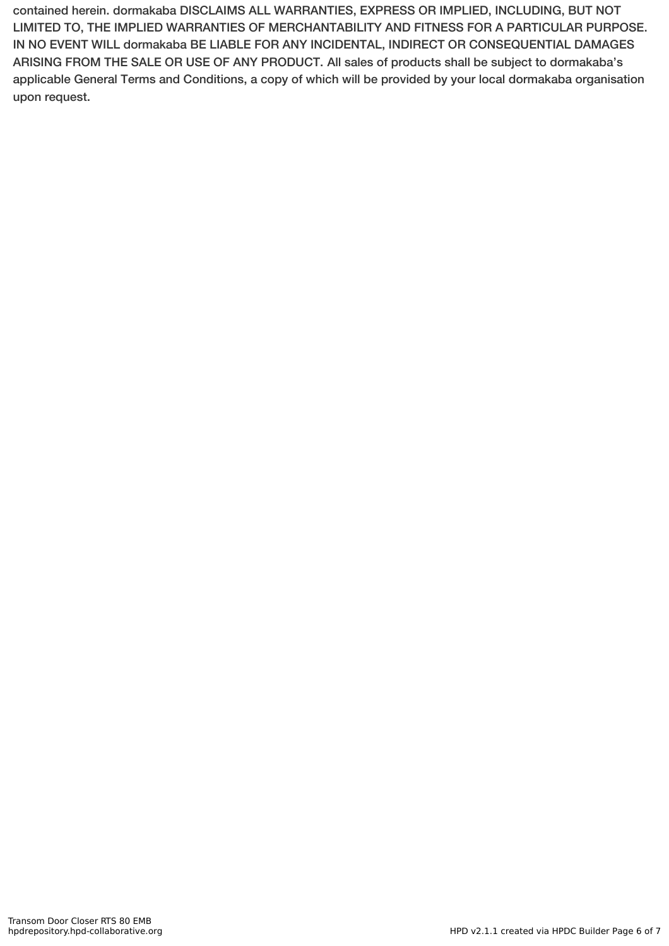contained herein. dormakaba DISCLAIMS ALL WARRANTIES, EXPRESS OR IMPLIED, INCLUDING, BUT NOT LIMITED TO, THE IMPLIED WARRANTIES OF MERCHANTABILITY AND FITNESS FOR A PARTICULAR PURPOSE. IN NO EVENT WILL dormakaba BE LIABLE FOR ANY INCIDENTAL, INDIRECT OR CONSEQUENTIAL DAMAGES ARISING FROM THE SALE OR USE OF ANY PRODUCT. All sales of products shall be subject to dormakaba's applicable General Terms and Conditions, a copy of which will be provided by your local dormakaba organisation upon request.